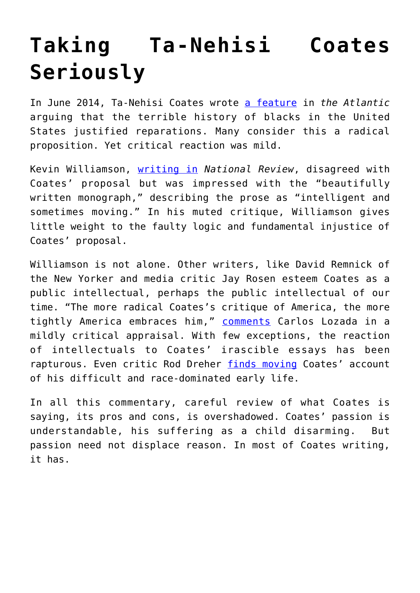## **[Taking Ta-Nehisi Coates](https://intellectualtakeout.org/2017/10/taking-ta-nehisi-coates-seriously/) [Seriously](https://intellectualtakeout.org/2017/10/taking-ta-nehisi-coates-seriously/)**

In June 2014, Ta-Nehisi Coates wrote [a feature](https://www.theatlantic.com/magazine/archive/2014/06/the-case-for-reparations/361631/) in *the Atlantic* arguing that the terrible history of blacks in the United States justified reparations. Many consider this a radical proposition. Yet critical reaction was mild.

Kevin Williamson, [writing in](http://www.nationalreview.com/article/378737/case-against-reparations-kevin-d-williamson) *National Review*, disagreed with Coates' proposal but was impressed with the "beautifully written monograph," describing the prose as "intelligent and sometimes moving." In his muted critique, Williamson gives little weight to the faulty logic and fundamental injustice of Coates' proposal.

Williamson is not alone. Other writers, like David Remnick of the New Yorker and media critic Jay Rosen esteem Coates as a public intellectual, perhaps the public intellectual of our time. "The more radical Coates's critique of America, the more tightly America embraces him," [comments](https://www.washingtonpost.com/news/book-party/wp/2015/07/16/the-radical-chic-of-ta-nehisi-coates/?utm_term=.07edfe7191b8) Carlos Lozada in a mildly critical appraisal. With few exceptions, the reaction of intellectuals to Coates' irascible essays has been rapturous. Even critic Rod Dreher [finds moving](http://www.theamericanconservative.com/dreher/reading-ta-nehisi-coates/) Coates' account of his difficult and race-dominated early life.

In all this commentary, careful review of what Coates is saying, its pros and cons, is overshadowed. Coates' passion is understandable, his suffering as a child disarming. But passion need not displace reason. In most of Coates writing, it has.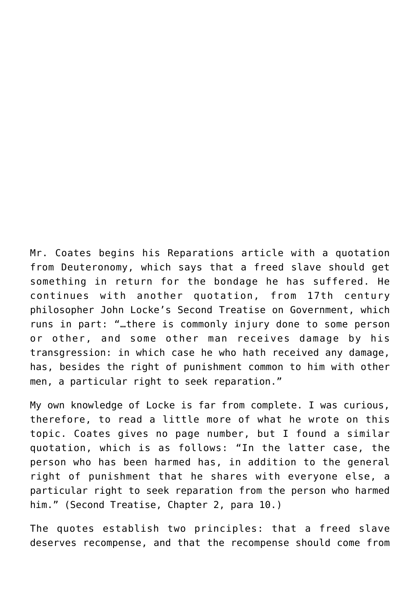Mr. Coates begins his Reparations article with a quotation from Deuteronomy, which says that a freed slave should get something in return for the bondage he has suffered. He continues with another quotation, from 17th century philosopher John Locke's Second Treatise on Government, which runs in part: "…there is commonly injury done to some person or other, and some other man receives damage by his transgression: in which case he who hath received any damage, has, besides the right of punishment common to him with other men, a particular right to seek reparation."

My own knowledge of Locke is far from complete. I was curious, therefore, to read a little more of what he wrote on this topic. Coates gives no page number, but I found a similar quotation, which is as follows: "In the latter case, the person who has been harmed has, in addition to the general right of punishment that he shares with everyone else, a particular right to seek reparation from the person who harmed him." (Second Treatise, Chapter 2, para 10.)

The quotes establish two principles: that a freed slave deserves recompense, and that the recompense should come from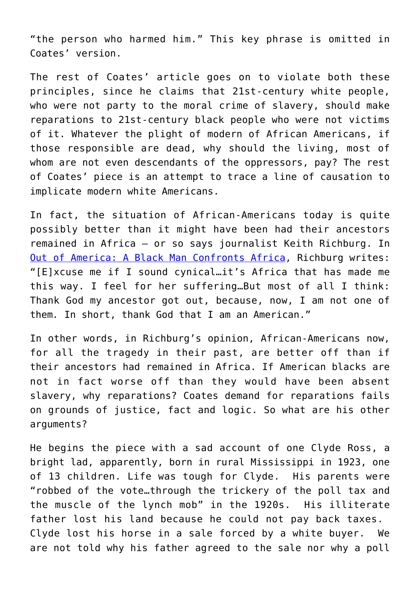"the person who harmed him." This key phrase is omitted in Coates' version.

The rest of Coates' article goes on to violate both these principles, since he claims that 21st-century white people, who were not party to the moral crime of slavery, should make reparations to 21st-century black people who were not victims of it. Whatever the plight of modern of African Americans, if those responsible are dead, why should the living, most of whom are not even descendants of the oppressors, pay? The rest of Coates' piece is an attempt to trace a line of causation to implicate modern white Americans.

In fact, the situation of African-Americans today is quite possibly better than it might have been had their ancestors remained in Africa – or so says journalist Keith Richburg. In [Out of America: A Black Man Confronts Africa,](http://amzn.to/2xnFn6B) Richburg writes: "[E]xcuse me if I sound cynical…it's Africa that has made me this way. I feel for her suffering…But most of all I think: Thank God my ancestor got out, because, now, I am not one of them*.* In short, thank God that I am an American."

In other words, in Richburg's opinion, African-Americans now, for all the tragedy in their past, are better off than if their ancestors had remained in Africa. If American blacks are not in fact worse off than they would have been absent slavery, why reparations? Coates demand for reparations fails on grounds of justice, fact and logic. So what are his other arguments?

He begins the piece with a sad account of one Clyde Ross, a bright lad, apparently, born in rural Mississippi in 1923, one of 13 children. Life was tough for Clyde. His parents were "robbed of the vote…through the trickery of the poll tax and the muscle of the lynch mob" in the 1920s. His illiterate father lost his land because he could not pay back taxes. Clyde lost his horse in a sale forced by a white buyer. We are not told why his father agreed to the sale nor why a poll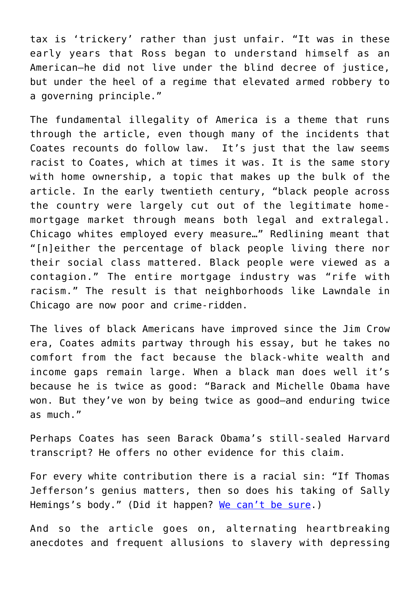tax is 'trickery' rather than just unfair. "It was in these early years that Ross began to understand himself as an American—he did not live under the blind decree of justice, but under the heel of a regime that elevated armed robbery to a governing principle."

The fundamental illegality of America is a theme that runs through the article, even though many of the incidents that Coates recounts do follow law. It's just that the law seems racist to Coates, which at times it was. It is the same story with home ownership, a topic that makes up the bulk of the article. In the early twentieth century, "black people across the country were largely cut out of the legitimate homemortgage market through means both legal and extralegal. Chicago whites employed every measure…" Redlining meant that "[n]either the percentage of black people living there nor their social class mattered. Black people were viewed as a contagion." The entire mortgage industry was "rife with racism." The result is that neighborhoods like Lawndale in Chicago are now poor and crime-ridden.

The lives of black Americans have improved since the Jim Crow era, Coates admits partway through his essay, but he takes no comfort from the fact because the black-white wealth and income gaps remain large. When a black man does well it's because he is twice as good: "Barack and Michelle Obama have won. But they've won by being twice as good—and enduring twice as much."

Perhaps Coates has seen Barack Obama's still-sealed Harvard transcript? He offers no other evidence for this claim.

For every white contribution there is a racial sin: "If Thomas Jefferson's genius matters, then so does his taking of Sally Hemings's body." (Did it happen? [We can't be sure.](https://www.tjheritage.org/works-jefferson-hemings-controversy-image))

And so the article goes on, alternating heartbreaking anecdotes and frequent allusions to slavery with depressing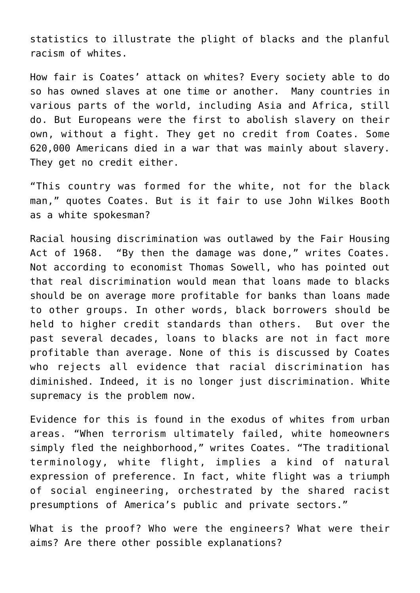statistics to illustrate the plight of blacks and the planful racism of whites.

How fair is Coates' attack on whites? Every society able to do so has owned slaves at one time or another. Many countries in various parts of the world, including Asia and Africa, still do. But Europeans were the first to abolish slavery on their own, without a fight. They get no credit from Coates. Some 620,000 Americans died in a war that was mainly about slavery. They get no credit either.

"This country was formed for the white, not for the black man," quotes Coates. But is it fair to use John Wilkes Booth as a white spokesman?

Racial housing discrimination was outlawed by the Fair Housing Act of 1968. "By then the damage was done," writes Coates. Not according to economist Thomas Sowell, who has pointed out that real discrimination would mean that loans made to blacks should be on average more profitable for banks than loans made to other groups. In other words, black borrowers should be held to higher credit standards than others. But over the past several decades, loans to blacks are not in fact more profitable than average. None of this is discussed by Coates who rejects all evidence that racial discrimination has diminished. Indeed, it is no longer just discrimination. White supremacy is the problem now.

Evidence for this is found in the exodus of whites from urban areas. "When terrorism ultimately failed, white homeowners simply fled the neighborhood," writes Coates. "The traditional terminology, white flight, implies a kind of natural expression of preference. In fact, white flight was a triumph of social engineering, orchestrated by the shared racist presumptions of America's public and private sectors."

What is the proof? Who were the engineers? What were their aims? Are there other possible explanations?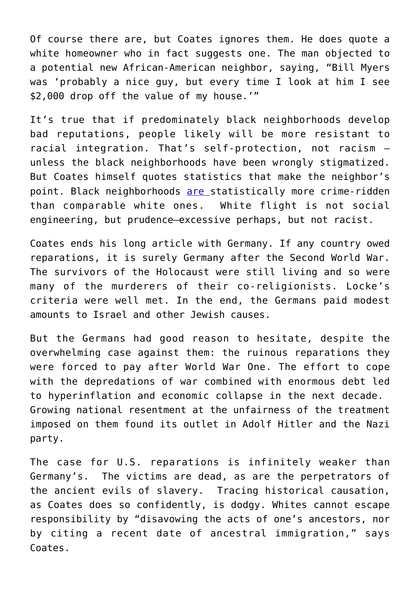Of course there are, but Coates ignores them. He does quote a white homeowner who in fact suggests one. The man objected to a potential new African-American neighbor, saying, "Bill Myers was 'probably a nice guy, but every time I look at him I see \$2,000 drop off the value of my house.'"

It's true that if predominately black neighborhoods develop bad reputations, people likely will be more resistant to racial integration. That's self-protection, not racism – unless the black neighborhoods have been wrongly stigmatized. But Coates himself quotes statistics that make the neighbor's point. Black neighborhoods [are](https://www.neighborhoodscout.com/blog/25-most-dangerous-neighborhoods) statistically more crime-ridden than comparable white ones. White flight is not social engineering, but prudence–excessive perhaps, but not racist.

Coates ends his long article with Germany. If any country owed reparations, it is surely Germany after the Second World War. The survivors of the Holocaust were still living and so were many of the murderers of their co-religionists. Locke's criteria were well met. In the end, the Germans paid modest amounts to Israel and other Jewish causes.

But the Germans had good reason to hesitate, despite the overwhelming case against them: the ruinous reparations they were forced to pay after World War One. The effort to cope with the depredations of war combined with enormous debt led to hyperinflation and economic collapse in the next decade. Growing national resentment at the unfairness of the treatment imposed on them found its outlet in Adolf Hitler and the Nazi party.

The case for U.S. reparations is infinitely weaker than Germany's. The victims are dead, as are the perpetrators of the ancient evils of slavery. Tracing historical causation, as Coates does so confidently, is dodgy. Whites cannot escape responsibility by "disavowing the acts of one's ancestors, nor by citing a recent date of ancestral immigration," says Coates.